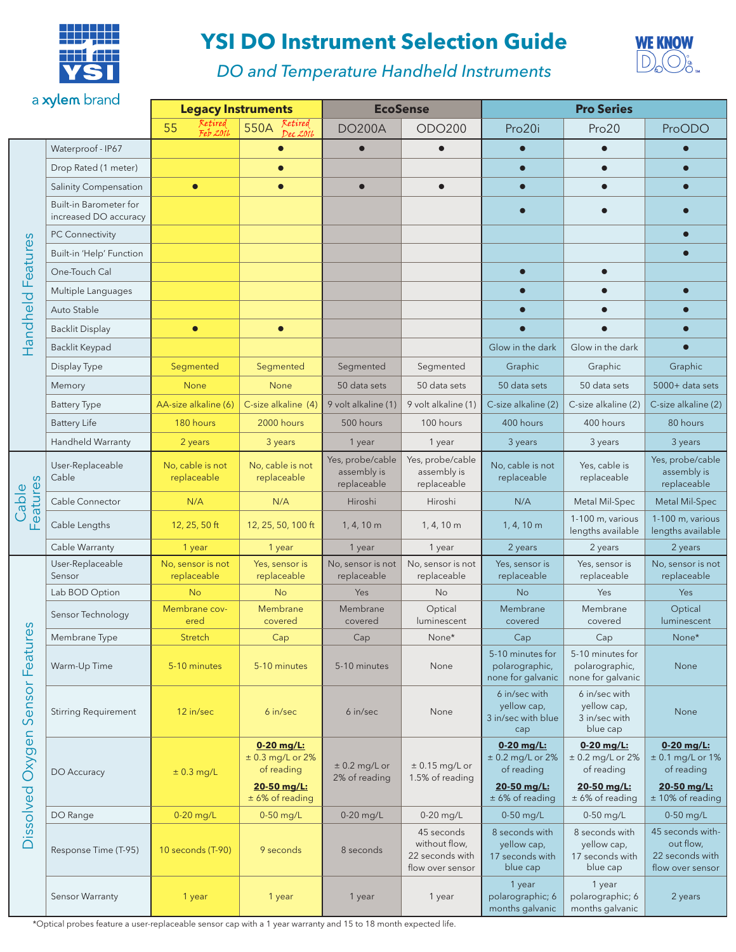

## **YSI DO Instrument Selection Guide**



*DO and Temperature Handheld Instruments*

| a xylem brand                                                                                  |                                                 | <b>Legacy Instruments</b>        |                                                               | <b>EcoSense</b>                                                                                                                                                                                                                                                                                                                                                                                                                                                                                                                                                                                                                                                                                                                                                                                                                               |                                                | <b>Pro Series</b>                                                                                                                                                                                                                                                                                                                               |                                       |                                                                      |
|------------------------------------------------------------------------------------------------|-------------------------------------------------|----------------------------------|---------------------------------------------------------------|-----------------------------------------------------------------------------------------------------------------------------------------------------------------------------------------------------------------------------------------------------------------------------------------------------------------------------------------------------------------------------------------------------------------------------------------------------------------------------------------------------------------------------------------------------------------------------------------------------------------------------------------------------------------------------------------------------------------------------------------------------------------------------------------------------------------------------------------------|------------------------------------------------|-------------------------------------------------------------------------------------------------------------------------------------------------------------------------------------------------------------------------------------------------------------------------------------------------------------------------------------------------|---------------------------------------|----------------------------------------------------------------------|
|                                                                                                |                                                 | Retired<br>55                    | Retired<br>550A                                               |                                                                                                                                                                                                                                                                                                                                                                                                                                                                                                                                                                                                                                                                                                                                                                                                                                               |                                                |                                                                                                                                                                                                                                                                                                                                                 |                                       |                                                                      |
|                                                                                                |                                                 | Feb 2016                         | Dec 2016                                                      |                                                                                                                                                                                                                                                                                                                                                                                                                                                                                                                                                                                                                                                                                                                                                                                                                                               |                                                |                                                                                                                                                                                                                                                                                                                                                 |                                       | ProODO                                                               |
| Features<br>Handheld<br>Features<br>Cable<br>S<br>Φ<br>Featur<br>Sensor<br>Oxygen<br>Dissolved | Waterproof - IP67                               |                                  |                                                               |                                                                                                                                                                                                                                                                                                                                                                                                                                                                                                                                                                                                                                                                                                                                                                                                                                               |                                                |                                                                                                                                                                                                                                                                                                                                                 |                                       |                                                                      |
|                                                                                                | Drop Rated (1 meter)                            |                                  |                                                               |                                                                                                                                                                                                                                                                                                                                                                                                                                                                                                                                                                                                                                                                                                                                                                                                                                               |                                                |                                                                                                                                                                                                                                                                                                                                                 |                                       |                                                                      |
|                                                                                                | <b>Salinity Compensation</b>                    | $\bullet$                        |                                                               |                                                                                                                                                                                                                                                                                                                                                                                                                                                                                                                                                                                                                                                                                                                                                                                                                                               |                                                |                                                                                                                                                                                                                                                                                                                                                 |                                       |                                                                      |
|                                                                                                | Built-in Barometer for<br>increased DO accuracy |                                  |                                                               |                                                                                                                                                                                                                                                                                                                                                                                                                                                                                                                                                                                                                                                                                                                                                                                                                                               |                                                | $\bullet$                                                                                                                                                                                                                                                                                                                                       |                                       |                                                                      |
|                                                                                                | <b>PC Connectivity</b>                          |                                  |                                                               |                                                                                                                                                                                                                                                                                                                                                                                                                                                                                                                                                                                                                                                                                                                                                                                                                                               |                                                |                                                                                                                                                                                                                                                                                                                                                 |                                       |                                                                      |
|                                                                                                | Built-in 'Help' Function                        |                                  |                                                               |                                                                                                                                                                                                                                                                                                                                                                                                                                                                                                                                                                                                                                                                                                                                                                                                                                               |                                                |                                                                                                                                                                                                                                                                                                                                                 |                                       |                                                                      |
|                                                                                                | One-Touch Cal                                   |                                  |                                                               |                                                                                                                                                                                                                                                                                                                                                                                                                                                                                                                                                                                                                                                                                                                                                                                                                                               |                                                | $\bullet$                                                                                                                                                                                                                                                                                                                                       |                                       |                                                                      |
|                                                                                                | Multiple Languages                              |                                  |                                                               |                                                                                                                                                                                                                                                                                                                                                                                                                                                                                                                                                                                                                                                                                                                                                                                                                                               |                                                |                                                                                                                                                                                                                                                                                                                                                 |                                       |                                                                      |
|                                                                                                | Auto Stable                                     |                                  |                                                               |                                                                                                                                                                                                                                                                                                                                                                                                                                                                                                                                                                                                                                                                                                                                                                                                                                               |                                                | $\bullet$                                                                                                                                                                                                                                                                                                                                       |                                       |                                                                      |
|                                                                                                | <b>Backlit Display</b>                          | $\bullet$                        | $\bullet$                                                     |                                                                                                                                                                                                                                                                                                                                                                                                                                                                                                                                                                                                                                                                                                                                                                                                                                               |                                                |                                                                                                                                                                                                                                                                                                                                                 |                                       |                                                                      |
|                                                                                                | Backlit Keypad                                  |                                  |                                                               |                                                                                                                                                                                                                                                                                                                                                                                                                                                                                                                                                                                                                                                                                                                                                                                                                                               |                                                | Glow in the dark                                                                                                                                                                                                                                                                                                                                | Glow in the dark                      |                                                                      |
|                                                                                                | Display Type                                    | Segmented                        | Segmented                                                     | Segmented                                                                                                                                                                                                                                                                                                                                                                                                                                                                                                                                                                                                                                                                                                                                                                                                                                     | Segmented                                      | Graphic                                                                                                                                                                                                                                                                                                                                         | Graphic                               | Graphic                                                              |
|                                                                                                | Memory                                          | None                             | None                                                          | 50 data sets                                                                                                                                                                                                                                                                                                                                                                                                                                                                                                                                                                                                                                                                                                                                                                                                                                  | 50 data sets                                   | 50 data sets                                                                                                                                                                                                                                                                                                                                    | 50 data sets                          | 5000+ data sets                                                      |
|                                                                                                | <b>Battery Type</b>                             | AA-size alkaline (6)             | C-size alkaline (4)                                           | 9 volt alkaline (1)                                                                                                                                                                                                                                                                                                                                                                                                                                                                                                                                                                                                                                                                                                                                                                                                                           | 9 volt alkaline (1)                            | C-size alkaline (2)                                                                                                                                                                                                                                                                                                                             | C-size alkaline (2)                   | C-size alkaline (2)                                                  |
|                                                                                                | <b>Battery Life</b>                             | 180 hours                        | 2000 hours                                                    | 500 hours                                                                                                                                                                                                                                                                                                                                                                                                                                                                                                                                                                                                                                                                                                                                                                                                                                     | 100 hours                                      | 400 hours                                                                                                                                                                                                                                                                                                                                       | 400 hours                             | 80 hours                                                             |
|                                                                                                | Handheld Warranty                               | 2 years                          | 3 years                                                       | 1 year                                                                                                                                                                                                                                                                                                                                                                                                                                                                                                                                                                                                                                                                                                                                                                                                                                        | 1 year                                         | 3 years                                                                                                                                                                                                                                                                                                                                         | 3 years                               | 3 years                                                              |
|                                                                                                | User-Replaceable<br>Cable                       | No, cable is not<br>replaceable  | No, cable is not<br>replaceable                               | Yes, probe/cable<br>assembly is<br>replaceable                                                                                                                                                                                                                                                                                                                                                                                                                                                                                                                                                                                                                                                                                                                                                                                                | Yes, probe/cable<br>assembly is<br>replaceable | No, cable is not<br>replaceable                                                                                                                                                                                                                                                                                                                 | Yes, cable is<br>replaceable          | Yes, probe/cable<br>assembly is<br>replaceable                       |
|                                                                                                | Cable Connector                                 | N/A                              | N/A                                                           | Hiroshi                                                                                                                                                                                                                                                                                                                                                                                                                                                                                                                                                                                                                                                                                                                                                                                                                                       | Hiroshi                                        | N/A                                                                                                                                                                                                                                                                                                                                             | Metal Mil-Spec                        | Metal Mil-Spec                                                       |
|                                                                                                | Cable Lengths                                   | 12, 25, 50 ft                    | 12, 25, 50, 100 ft                                            | 1, 4, 10 m                                                                                                                                                                                                                                                                                                                                                                                                                                                                                                                                                                                                                                                                                                                                                                                                                                    | 1, 4, 10 m                                     | 1, 4, 10 m                                                                                                                                                                                                                                                                                                                                      | 1-100 m, various<br>lengths available | 1-100 m, various<br>lengths available                                |
|                                                                                                | Cable Warranty                                  | 1 year                           | 1 year                                                        | 1 year                                                                                                                                                                                                                                                                                                                                                                                                                                                                                                                                                                                                                                                                                                                                                                                                                                        | 1 year                                         | 2 years                                                                                                                                                                                                                                                                                                                                         | 2 years                               | 2 years                                                              |
|                                                                                                | User-Replaceable<br>Sensor                      | No, sensor is not<br>replaceable | Yes, sensor is<br>replaceable                                 | No, sensor is not<br>replaceable                                                                                                                                                                                                                                                                                                                                                                                                                                                                                                                                                                                                                                                                                                                                                                                                              | No, sensor is not<br>replaceable               | Yes, sensor is<br>replaceable                                                                                                                                                                                                                                                                                                                   | Yes, sensor is<br>replaceable         | No, sensor is not<br>replaceable                                     |
|                                                                                                | Lab BOD Option                                  | <b>No</b>                        | <b>No</b>                                                     | Yes                                                                                                                                                                                                                                                                                                                                                                                                                                                                                                                                                                                                                                                                                                                                                                                                                                           | No                                             | <b>No</b>                                                                                                                                                                                                                                                                                                                                       | Yes                                   | Yes                                                                  |
|                                                                                                | Sensor Technology                               | Membrane cov-<br>ered            | Membrane<br>covered                                           | Membrane<br>covered                                                                                                                                                                                                                                                                                                                                                                                                                                                                                                                                                                                                                                                                                                                                                                                                                           | Optical<br>luminescent                         | Pro20i<br>$\bullet$<br>$\bullet$<br>Membrane<br>covered<br>Cap<br>5-10 minutes for<br>polarographic,<br>6 in/sec with<br>yellow cap,<br>cap<br>$0 - 20$ mg/L:<br>of reading<br>20-50 mg/L:<br>$± 6%$ of reading<br>$0-50$ mg/L<br>8 seconds with<br>yellow cap,<br>17 seconds with<br>blue cap<br>1 year<br>polarographic; 6<br>months galvanic | Membrane<br>covered                   | Optical<br>luminescent                                               |
|                                                                                                | Membrane Type                                   | Stretch                          | Cap                                                           | <b>DO200A</b><br><b>ODO200</b><br>Pro20<br>$\bullet$<br>$\bullet$<br>$\bullet$<br>$\bullet$<br>$\bullet$<br>$\bullet$<br>None*<br>Cap<br>Cap<br>5-10 minutes for<br>5-10 minutes<br>None<br>polarographic,<br>none for galvanic<br>none for galvanic<br>6 in/sec with<br>yellow cap,<br>6 in/sec<br>6 in/sec<br>None<br>3 in/sec with blue<br>3 in/sec with<br>blue cap<br>0-20 mg/L:<br>$± 0.2$ mg/L or 2%<br>$± 0.2$ mg/L or 2%<br>$± 0.2$ mg/L or<br>$± 0.15$ mg/L or<br>of reading<br>1.5% of reading<br>2% of reading<br>20-50 mg/L:<br>$± 6%$ of reading<br>$0-20$ mg/L<br>$0-20$ mg/L<br>$0-50$ mg/L<br>45 seconds<br>8 seconds with<br>without flow,<br>yellow cap,<br>8 seconds<br>22 seconds with<br>17 seconds with<br>flow over sensor<br>blue cap<br>1 year<br>polarographic; 6<br>1 year<br>1 year<br>1 year<br>months galvanic | None*                                          |                                                                                                                                                                                                                                                                                                                                                 |                                       |                                                                      |
|                                                                                                | Warm-Up Time                                    | 5-10 minutes                     | 5-10 minutes                                                  |                                                                                                                                                                                                                                                                                                                                                                                                                                                                                                                                                                                                                                                                                                                                                                                                                                               |                                                |                                                                                                                                                                                                                                                                                                                                                 |                                       | None                                                                 |
|                                                                                                | <b>Stirring Requirement</b>                     | 12 in/sec                        |                                                               |                                                                                                                                                                                                                                                                                                                                                                                                                                                                                                                                                                                                                                                                                                                                                                                                                                               |                                                |                                                                                                                                                                                                                                                                                                                                                 |                                       | None                                                                 |
|                                                                                                | DO Accuracy                                     | $± 0.3$ mg/L                     | 0-20 mg/L:<br>$± 0.3$ mg/L or 2%<br>of reading<br>20-50 mg/L: |                                                                                                                                                                                                                                                                                                                                                                                                                                                                                                                                                                                                                                                                                                                                                                                                                                               |                                                |                                                                                                                                                                                                                                                                                                                                                 |                                       | $0 - 20$ mg/L:<br>$± 0.1$ mg/L or 1%<br>of reading<br>20-50 mg/L:    |
|                                                                                                |                                                 |                                  | $± 6%$ of reading                                             |                                                                                                                                                                                                                                                                                                                                                                                                                                                                                                                                                                                                                                                                                                                                                                                                                                               |                                                |                                                                                                                                                                                                                                                                                                                                                 |                                       | $± 10%$ of reading                                                   |
|                                                                                                | DO Range                                        | 0-20 mg/L                        | 0-50 mg/L                                                     |                                                                                                                                                                                                                                                                                                                                                                                                                                                                                                                                                                                                                                                                                                                                                                                                                                               |                                                |                                                                                                                                                                                                                                                                                                                                                 |                                       | $0-50$ mg/L                                                          |
|                                                                                                | Response Time (T-95)                            | 10 seconds (T-90)                | 9 seconds                                                     |                                                                                                                                                                                                                                                                                                                                                                                                                                                                                                                                                                                                                                                                                                                                                                                                                                               |                                                |                                                                                                                                                                                                                                                                                                                                                 |                                       | 45 seconds with-<br>out flow,<br>22 seconds with<br>flow over sensor |
|                                                                                                | Sensor Warranty                                 | 1 year                           |                                                               |                                                                                                                                                                                                                                                                                                                                                                                                                                                                                                                                                                                                                                                                                                                                                                                                                                               |                                                |                                                                                                                                                                                                                                                                                                                                                 |                                       | 2 years                                                              |

\*Optical probes feature a user-replaceable sensor cap with a 1 year warranty and 15 to 18 month expected life.